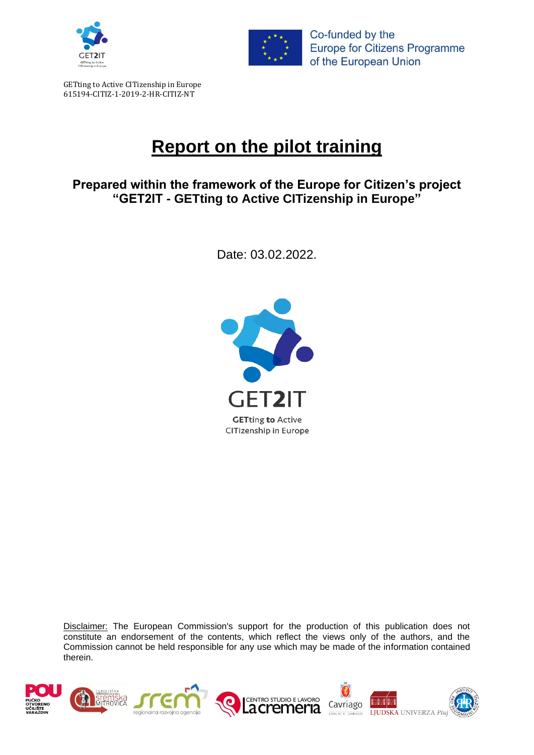



**Europe for Citizens Programme** of the European Union

GETting to Active CITizenship in Europe 615194-CITIZ-1-2019-2-HR-CITIZ-NT

# **Report on the pilot training**

### **Prepared within the framework of the Europe for Citizen's project "GET2IT - GETting to Active CITizenship in Europe"**

Date: 03.02.2022.



Disclaimer: The European Commission's support for the production of this publication does not constitute an endorsement of the contents, which reflect the views only of the authors, and the Commission cannot be held responsible for any use which may be made of the information contained therein.

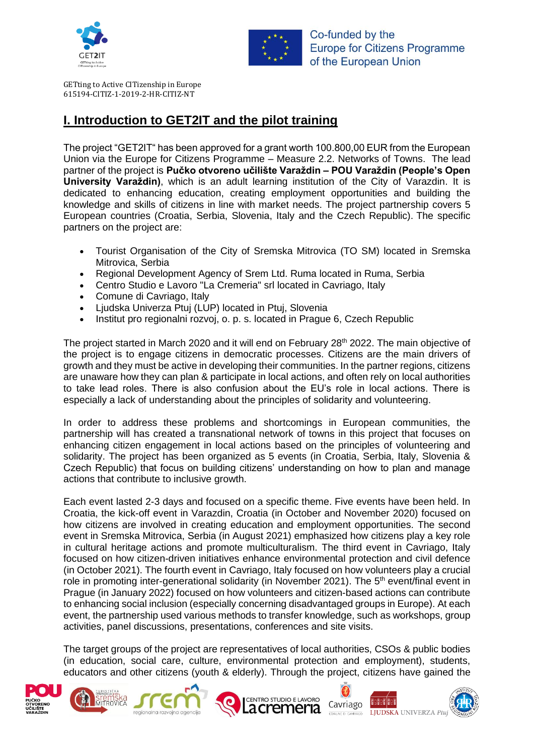



GETting to Active CITizenship in Europe 615194-CITIZ-1-2019-2-HR-CITIZ-NT

## **I. Introduction to GET2IT and the pilot training**

The project "GET2IT" has been approved for a grant worth 100.800,00 EUR from the European Union via the Europe for Citizens Programme – Measure 2.2. Networks of Towns. The lead partner of the project is **Pučko otvoreno učilište Varaždin – POU Varaždin (People's Open University Varaždin)**, which is an adult learning institution of the City of Varazdin. It is dedicated to enhancing education, creating employment opportunities and building the knowledge and skills of citizens in line with market needs. The project partnership covers 5 European countries (Croatia, Serbia, Slovenia, Italy and the Czech Republic). The specific partners on the project are:

- Tourist Organisation of the City of Sremska Mitrovica (TO SM) located in Sremska Mitrovica, Serbia
- Regional Development Agency of Srem Ltd. Ruma located in Ruma, Serbia
- Centro Studio e Lavoro "La Cremeria" srl located in Cavriago, Italy
- Comune di Cavriago, Italy
- Ljudska Univerza Ptuj (LUP) located in Ptuj, Slovenia
- Institut pro regionalni rozvoj, o. p. s. located in Prague 6, Czech Republic

The project started in March 2020 and it will end on February 28<sup>th</sup> 2022. The main objective of the project is to engage citizens in democratic processes. Citizens are the main drivers of growth and they must be active in developing their communities. In the partner regions, citizens are unaware how they can plan & participate in local actions, and often rely on local authorities to take lead roles. There is also confusion about the EU's role in local actions. There is especially a lack of understanding about the principles of solidarity and volunteering.

In order to address these problems and shortcomings in European communities, the partnership will has created a transnational network of towns in this project that focuses on enhancing citizen engagement in local actions based on the principles of volunteering and solidarity. The project has been organized as 5 events (in Croatia, Serbia, Italy, Slovenia & Czech Republic) that focus on building citizens' understanding on how to plan and manage actions that contribute to inclusive growth.

Each event lasted 2-3 days and focused on a specific theme. Five events have been held. In Croatia, the kick-off event in Varazdin, Croatia (in October and November 2020) focused on how citizens are involved in creating education and employment opportunities. The second event in Sremska Mitrovica, Serbia (in August 2021) emphasized how citizens play a key role in cultural heritage actions and promote multiculturalism. The third event in Cavriago, Italy focused on how citizen-driven initiatives enhance environmental protection and civil defence (in October 2021). The fourth event in Cavriago, Italy focused on how volunteers play a crucial role in promoting inter-generational solidarity (in November 2021). The  $5<sup>th</sup>$  event/final event in Prague (in January 2022) focused on how volunteers and citizen-based actions can contribute to enhancing social inclusion (especially concerning disadvantaged groups in Europe). At each event, the partnership used various methods to transfer knowledge, such as workshops, group activities, panel discussions, presentations, conferences and site visits.

The target groups of the project are representatives of local authorities, CSOs & public bodies (in education, social care, culture, environmental protection and employment), students, educators and other citizens (youth & elderly). Through the project, citizens have gained the

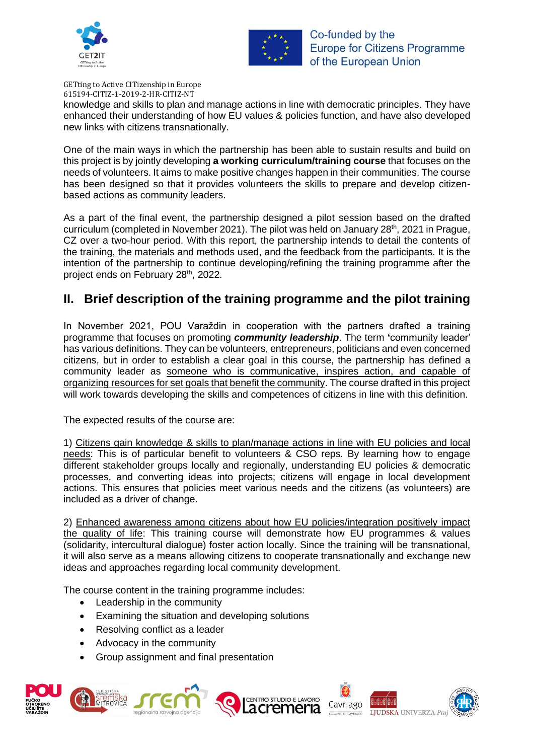



GETting to Active CITizenship in Europe 615194-CITIZ-1-2019-2-HR-CITIZ-NT

knowledge and skills to plan and manage actions in line with democratic principles. They have enhanced their understanding of how EU values & policies function, and have also developed new links with citizens transnationally.

One of the main ways in which the partnership has been able to sustain results and build on this project is by jointly developing **a working curriculum/training course** that focuses on the needs of volunteers. It aims to make positive changes happen in their communities. The course has been designed so that it provides volunteers the skills to prepare and develop citizenbased actions as community leaders.

As a part of the final event, the partnership designed a pilot session based on the drafted curriculum (completed in November 2021). The pilot was held on January 28<sup>th</sup>, 2021 in Prague, CZ over a two-hour period. With this report, the partnership intends to detail the contents of the training, the materials and methods used, and the feedback from the participants. It is the intention of the partnership to continue developing/refining the training programme after the project ends on February 28<sup>th</sup>, 2022.

#### **II. Brief description of the training programme and the pilot training**

In November 2021, POU Varaždin in cooperation with the partners drafted a training programme that focuses on promoting *community leadership*. The term **'**community leader' has various definitions. They can be volunteers, entrepreneurs, politicians and even concerned citizens, but in order to establish a clear goal in this course, the partnership has defined a community leader as someone who is communicative, inspires action, and capable of organizing resources for set goals that benefit the community. The course drafted in this project will work towards developing the skills and competences of citizens in line with this definition.

The expected results of the course are:

1) Citizens gain knowledge & skills to plan/manage actions in line with EU policies and local needs: This is of particular benefit to volunteers & CSO reps. By learning how to engage different stakeholder groups locally and regionally, understanding EU policies & democratic processes, and converting ideas into projects; citizens will engage in local development actions. This ensures that policies meet various needs and the citizens (as volunteers) are included as a driver of change.

2) Enhanced awareness among citizens about how EU policies/integration positively impact the quality of life: This training course will demonstrate how EU programmes & values (solidarity, intercultural dialogue) foster action locally. Since the training will be transnational, it will also serve as a means allowing citizens to cooperate transnationally and exchange new ideas and approaches regarding local community development.

The course content in the training programme includes:

- Leadership in the community
- Examining the situation and developing solutions
- Resolving conflict as a leader
- Advocacy in the community
- Group assignment and final presentation







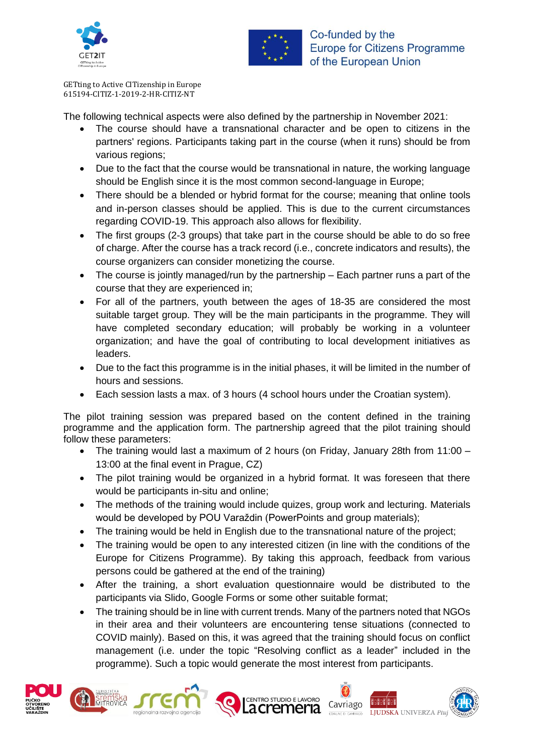



GETting to Active CITizenship in Europe 615194-CITIZ-1-2019-2-HR-CITIZ-NT

The following technical aspects were also defined by the partnership in November 2021:

- The course should have a transnational character and be open to citizens in the partners' regions. Participants taking part in the course (when it runs) should be from various regions:
- Due to the fact that the course would be transnational in nature, the working language should be English since it is the most common second-language in Europe;
- There should be a blended or hybrid format for the course; meaning that online tools and in-person classes should be applied. This is due to the current circumstances regarding COVID-19. This approach also allows for flexibility.
- The first groups (2-3 groups) that take part in the course should be able to do so free of charge. After the course has a track record (i.e., concrete indicators and results), the course organizers can consider monetizing the course.
- The course is jointly managed/run by the partnership Each partner runs a part of the course that they are experienced in;
- For all of the partners, youth between the ages of 18-35 are considered the most suitable target group. They will be the main participants in the programme. They will have completed secondary education; will probably be working in a volunteer organization; and have the goal of contributing to local development initiatives as leaders.
- Due to the fact this programme is in the initial phases, it will be limited in the number of hours and sessions.
- Each session lasts a max. of 3 hours (4 school hours under the Croatian system).

The pilot training session was prepared based on the content defined in the training programme and the application form. The partnership agreed that the pilot training should follow these parameters:

- The training would last a maximum of 2 hours (on Friday, January 28th from 11:00 13:00 at the final event in Prague, CZ)
- The pilot training would be organized in a hybrid format. It was foreseen that there would be participants in-situ and online;
- The methods of the training would include quizes, group work and lecturing. Materials would be developed by POU Varaždin (PowerPoints and group materials);
- The training would be held in English due to the transnational nature of the project;
- The training would be open to any interested citizen (in line with the conditions of the Europe for Citizens Programme). By taking this approach, feedback from various persons could be gathered at the end of the training)
- After the training, a short evaluation questionnaire would be distributed to the participants via Slido, Google Forms or some other suitable format;
- The training should be in line with current trends. Many of the partners noted that NGOs in their area and their volunteers are encountering tense situations (connected to COVID mainly). Based on this, it was agreed that the training should focus on conflict management (i.e. under the topic "Resolving conflict as a leader" included in the programme). Such a topic would generate the most interest from participants.







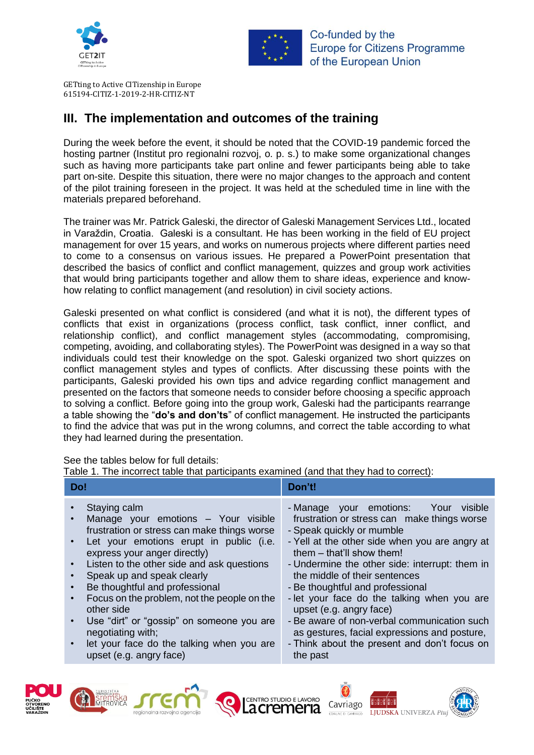



GETting to Active CITizenship in Europe 615194-CITIZ-1-2019-2-HR-CITIZ-NT

### **III. The implementation and outcomes of the training**

During the week before the event, it should be noted that the COVID-19 pandemic forced the hosting partner (Institut pro regionalni rozvoj, o. p. s.) to make some organizational changes such as having more participants take part online and fewer participants being able to take part on-site. Despite this situation, there were no major changes to the approach and content of the pilot training foreseen in the project. It was held at the scheduled time in line with the materials prepared beforehand.

The trainer was Mr. Patrick Galeski, the director of Galeski Management Services Ltd., located in Varaždin, Croatia. Galeski is a consultant. He has been working in the field of EU project management for over 15 years, and works on numerous projects where different parties need to come to a consensus on various issues. He prepared a PowerPoint presentation that described the basics of conflict and conflict management, quizzes and group work activities that would bring participants together and allow them to share ideas, experience and knowhow relating to conflict management (and resolution) in civil society actions.

Galeski presented on what conflict is considered (and what it is not), the different types of conflicts that exist in organizations (process conflict, task conflict, inner conflict, and relationship conflict), and conflict management styles (accommodating, compromising, competing, avoiding, and collaborating styles). The PowerPoint was designed in a way so that individuals could test their knowledge on the spot. Galeski organized two short quizzes on conflict management styles and types of conflicts. After discussing these points with the participants, Galeski provided his own tips and advice regarding conflict management and presented on the factors that someone needs to consider before choosing a specific approach to solving a conflict. Before going into the group work, Galeski had the participants rearrange a table showing the "**do's and don'ts**" of conflict management. He instructed the participants to find the advice that was put in the wrong columns, and correct the table according to what they had learned during the presentation.

See the tables below for full details:

Table 1. The incorrect table that participants examined (and that they had to correct):

| Staying calm<br>- Manage your emotions: Your visible<br>Manage your emotions - Your visible<br>frustration or stress can make things worse<br>frustration or stress can make things worse<br>- Speak quickly or mumble<br>- Yell at the other side when you are angry at<br>Let your emotions erupt in public (i.e.<br>them – that'll show them!<br>express your anger directly)<br>Listen to the other side and ask questions<br>- Undermine the other side: interrupt: them in<br>$\bullet$<br>Speak up and speak clearly<br>the middle of their sentences<br>Be thoughtful and professional<br>- Be thoughtful and professional<br>Focus on the problem, not the people on the<br>- let your face do the talking when you are<br>$\bullet$<br>other side<br>upset (e.g. angry face)<br>- Be aware of non-verbal communication such<br>Use "dirt" or "gossip" on someone you are<br>$\bullet$<br>negotiating with;<br>as gestures, facial expressions and posture,<br>- Think about the present and don't focus on<br>let your face do the talking when you are<br>upset (e.g. angry face)<br>the past | Do! | Don't! |
|----------------------------------------------------------------------------------------------------------------------------------------------------------------------------------------------------------------------------------------------------------------------------------------------------------------------------------------------------------------------------------------------------------------------------------------------------------------------------------------------------------------------------------------------------------------------------------------------------------------------------------------------------------------------------------------------------------------------------------------------------------------------------------------------------------------------------------------------------------------------------------------------------------------------------------------------------------------------------------------------------------------------------------------------------------------------------------------------------------|-----|--------|
|                                                                                                                                                                                                                                                                                                                                                                                                                                                                                                                                                                                                                                                                                                                                                                                                                                                                                                                                                                                                                                                                                                          |     |        |







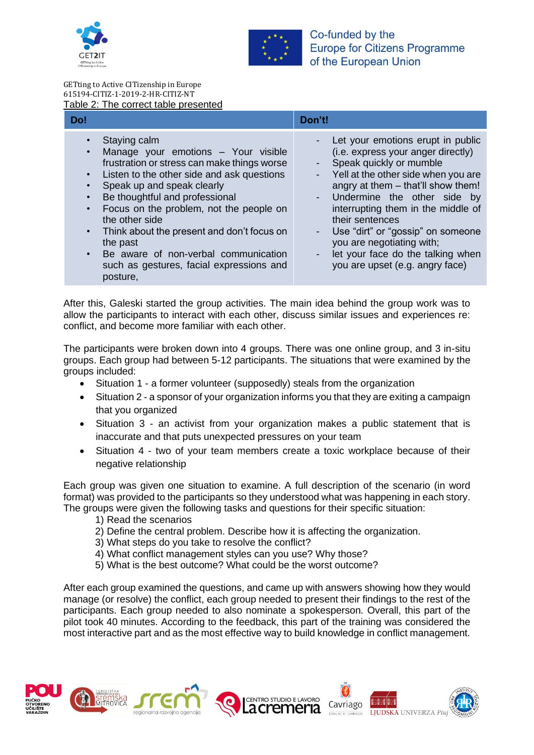



#### GETting to Active CITizenship in Europe 615194-CITIZ-1-2019-2-HR-CITIZ-NT Table 2: The correct table presented

| Do!                                                                                                                                                                                                                                                                                                                                                                                                                                                                                                      | Don't!                                                                                                                                                                                                                                                                                                                                                                                                                            |
|----------------------------------------------------------------------------------------------------------------------------------------------------------------------------------------------------------------------------------------------------------------------------------------------------------------------------------------------------------------------------------------------------------------------------------------------------------------------------------------------------------|-----------------------------------------------------------------------------------------------------------------------------------------------------------------------------------------------------------------------------------------------------------------------------------------------------------------------------------------------------------------------------------------------------------------------------------|
| Staying calm<br>Manage your emotions - Your visible<br>$\bullet$<br>frustration or stress can make things worse<br>Listen to the other side and ask questions<br>$\bullet$<br>Speak up and speak clearly<br>Be thoughtful and professional<br>Focus on the problem, not the people on<br>$\bullet$<br>the other side<br>Think about the present and don't focus on<br>$\bullet$<br>the past<br>Be aware of non-verbal communication<br>$\bullet$<br>such as gestures, facial expressions and<br>posture, | Let your emotions erupt in public<br>(i.e. express your anger directly)<br>- Speak quickly or mumble<br>- Yell at the other side when you are<br>angry at them - that'll show them!<br>- Undermine the other side by<br>interrupting them in the middle of<br>their sentences<br>Use "dirt" or "gossip" on someone<br>$\sim$<br>you are negotiating with;<br>let your face do the talking when<br>you are upset (e.g. angry face) |

After this, Galeski started the group activities. The main idea behind the group work was to allow the participants to interact with each other, discuss similar issues and experiences re: conflict, and become more familiar with each other.

The participants were broken down into 4 groups. There was one online group, and 3 in-situ groups. Each group had between 5-12 participants. The situations that were examined by the groups included:

- Situation 1 a former volunteer (supposedly) steals from the organization
- Situation 2 a sponsor of your organization informs you that they are exiting a campaign that you organized
- Situation 3 an activist from your organization makes a public statement that is inaccurate and that puts unexpected pressures on your team
- Situation 4 two of your team members create a toxic workplace because of their negative relationship

Each group was given one situation to examine. A full description of the scenario (in word format) was provided to the participants so they understood what was happening in each story. The groups were given the following tasks and questions for their specific situation:

- 1) Read the scenarios
- 2) Define the central problem. Describe how it is affecting the organization.
- 3) What steps do you take to resolve the conflict?
- 4) What conflict management styles can you use? Why those?
- 5) What is the best outcome? What could be the worst outcome?

After each group examined the questions, and came up with answers showing how they would manage (or resolve) the conflict, each group needed to present their findings to the rest of the participants. Each group needed to also nominate a spokesperson. Overall, this part of the pilot took 40 minutes. According to the feedback, this part of the training was considered the most interactive part and as the most effective way to build knowledge in conflict management.







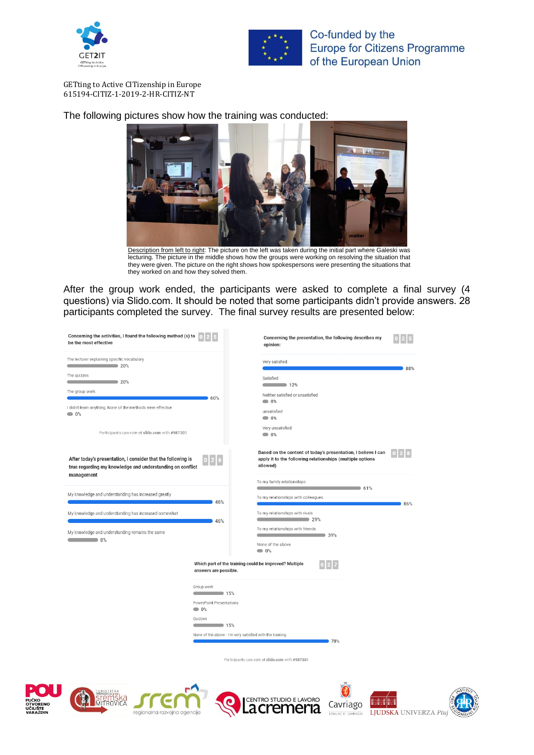



GETting to Active CITizenship in Europe 615194-CITIZ-1-2019-2-HR-CITIZ-NT

The following pictures show how the training was conducted:



Description from left to right: The picture on the left was taken during the initial part where Galeski was lecturing. The picture in the middle shows how the groups were working on resolving the situation that they were given. The picture on the right shows how spokespersons were presenting the situations that they worked on and how they solved them.

After the group work ended, the participants were asked to complete a final survey (4 questions) via Slido.com. It should be noted that some participants didn't provide answers. 28 participants completed the survey. The final survey results are presented below:

| Concerning the activities, I found the following method (s) to<br>be the most effective                                                                                                                                                    |                                                                                                                                                            | Concerning the presentation, the following describes my<br>opinion:                                                                                                  |                |
|--------------------------------------------------------------------------------------------------------------------------------------------------------------------------------------------------------------------------------------------|------------------------------------------------------------------------------------------------------------------------------------------------------------|----------------------------------------------------------------------------------------------------------------------------------------------------------------------|----------------|
| The lecturer explaining specific vocabulary<br>$\sim$ 20%<br>The quizzes<br>$\sim$ 20%<br>The group work<br>I didn't learn anything. None of the methods were effective<br>$\bullet$ 0%<br>Participants can vote at slido.com with #987301 | 60%                                                                                                                                                        | Very satisfied<br>Satisfied<br>$\sim$ 12%<br>Neither satisfied or unsatisfied<br>$\bullet$ 0%<br>unsatisfied<br>$\bullet$ 0%<br>Very unsatisfied<br>$\bullet$ 0%     | 88%            |
| After today's presentation, I consider that the following is<br>true regarding my knowledge and understanding on conflict<br>management                                                                                                    | 0 2 6                                                                                                                                                      | Based on the content of today's presentation, I believe I can<br>apply it to the following relationships (multiple options<br>allowed)<br>To my family relationships | $\overline{2}$ |
| My knowledge and understanding has increased greatly                                                                                                                                                                                       | 46%                                                                                                                                                        | $-61%$<br>To my relationships with colleagues                                                                                                                        |                |
| My knowledge and understanding has increased somewhat<br>My knowledge and understanding remains the same<br>$\sim$ 8%                                                                                                                      | 46%<br>Which part of the training could be improved? Multiple<br>answers are possible.                                                                     | To my relationships with rivals<br>$\sim$ 29%<br>To my relationships with friends<br>$\longrightarrow$ 39%<br>None of the above<br>$\bullet$ 0%<br>0 2 7             | 86%            |
|                                                                                                                                                                                                                                            | Group work<br>$\sim$ 15%<br>PowerPoint Presentations<br>$\bullet$ 0%<br>Ouizzes<br>$\sim$ 15%<br>None of the above - I'm very satisfied with the training. | 78%<br>Participants can vote at slido.com with #987301                                                                                                               |                |